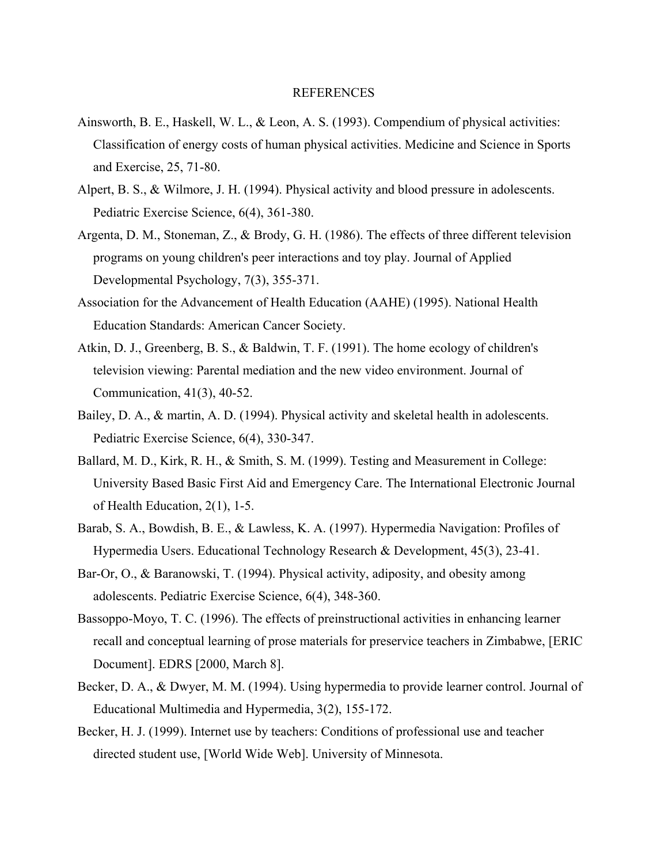## REFERENCES

- Ainsworth, B. E., Haskell, W. L., & Leon, A. S. (1993). Compendium of physical activities: Classification of energy costs of human physical activities. Medicine and Science in Sports and Exercise, 25, 71-80.
- Alpert, B. S., & Wilmore, J. H. (1994). Physical activity and blood pressure in adolescents. Pediatric Exercise Science, 6(4), 361-380.
- Argenta, D. M., Stoneman, Z., & Brody, G. H. (1986). The effects of three different television programs on young children's peer interactions and toy play. Journal of Applied Developmental Psychology, 7(3), 355-371.
- Association for the Advancement of Health Education (AAHE) (1995). National Health Education Standards: American Cancer Society.
- Atkin, D. J., Greenberg, B. S., & Baldwin, T. F. (1991). The home ecology of children's television viewing: Parental mediation and the new video environment. Journal of Communication, 41(3), 40-52.
- Bailey, D. A., & martin, A. D. (1994). Physical activity and skeletal health in adolescents. Pediatric Exercise Science, 6(4), 330-347.
- Ballard, M. D., Kirk, R. H., & Smith, S. M. (1999). Testing and Measurement in College: University Based Basic First Aid and Emergency Care. The International Electronic Journal of Health Education, 2(1), 1-5.
- Barab, S. A., Bowdish, B. E., & Lawless, K. A. (1997). Hypermedia Navigation: Profiles of Hypermedia Users. Educational Technology Research & Development, 45(3), 23-41.
- Bar-Or, O., & Baranowski, T. (1994). Physical activity, adiposity, and obesity among adolescents. Pediatric Exercise Science, 6(4), 348-360.
- Bassoppo-Moyo, T. C. (1996). The effects of preinstructional activities in enhancing learner recall and conceptual learning of prose materials for preservice teachers in Zimbabwe, [ERIC Document]. EDRS [2000, March 8].
- Becker, D. A., & Dwyer, M. M. (1994). Using hypermedia to provide learner control. Journal of Educational Multimedia and Hypermedia, 3(2), 155-172.
- Becker, H. J. (1999). Internet use by teachers: Conditions of professional use and teacher directed student use, [World Wide Web]. University of Minnesota.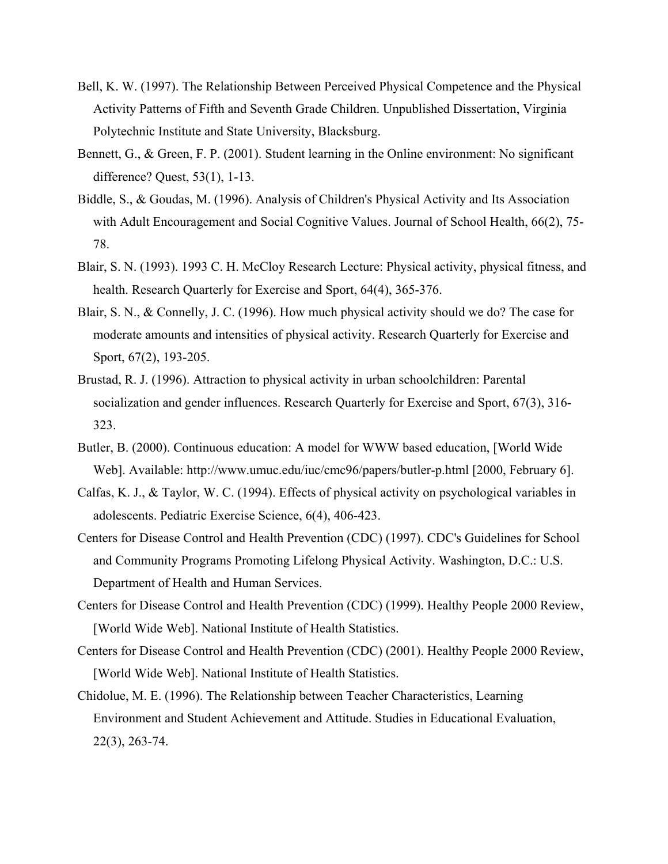- Bell, K. W. (1997). The Relationship Between Perceived Physical Competence and the Physical Activity Patterns of Fifth and Seventh Grade Children. Unpublished Dissertation, Virginia Polytechnic Institute and State University, Blacksburg.
- Bennett, G., & Green, F. P. (2001). Student learning in the Online environment: No significant difference? Quest, 53(1), 1-13.
- Biddle, S., & Goudas, M. (1996). Analysis of Children's Physical Activity and Its Association with Adult Encouragement and Social Cognitive Values. Journal of School Health, 66(2), 75-78.
- Blair, S. N. (1993). 1993 C. H. McCloy Research Lecture: Physical activity, physical fitness, and health. Research Quarterly for Exercise and Sport, 64(4), 365-376.
- Blair, S. N., & Connelly, J. C. (1996). How much physical activity should we do? The case for moderate amounts and intensities of physical activity. Research Quarterly for Exercise and Sport, 67(2), 193-205.
- Brustad, R. J. (1996). Attraction to physical activity in urban schoolchildren: Parental socialization and gender influences. Research Quarterly for Exercise and Sport, 67(3), 316- 323.
- Butler, B. (2000). Continuous education: A model for WWW based education, [World Wide Web]. Available: http://www.umuc.edu/iuc/cmc96/papers/butler-p.html [2000, February 6].
- Calfas, K. J., & Taylor, W. C. (1994). Effects of physical activity on psychological variables in adolescents. Pediatric Exercise Science, 6(4), 406-423.
- Centers for Disease Control and Health Prevention (CDC) (1997). CDC's Guidelines for School and Community Programs Promoting Lifelong Physical Activity. Washington, D.C.: U.S. Department of Health and Human Services.
- Centers for Disease Control and Health Prevention (CDC) (1999). Healthy People 2000 Review, [World Wide Web]. National Institute of Health Statistics.
- Centers for Disease Control and Health Prevention (CDC) (2001). Healthy People 2000 Review, [World Wide Web]. National Institute of Health Statistics.
- Chidolue, M. E. (1996). The Relationship between Teacher Characteristics, Learning Environment and Student Achievement and Attitude. Studies in Educational Evaluation, 22(3), 263-74.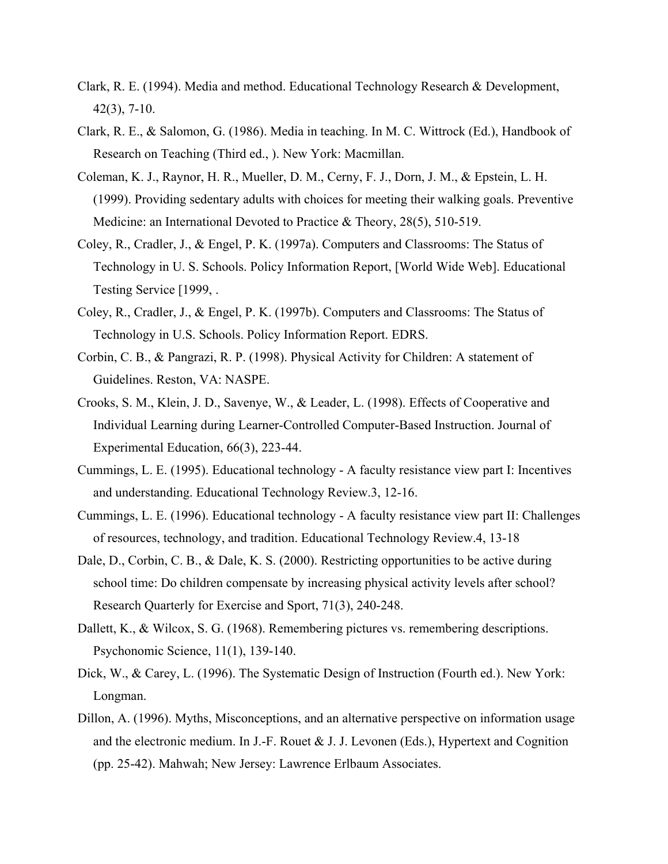- Clark, R. E. (1994). Media and method. Educational Technology Research & Development, 42(3), 7-10.
- Clark, R. E., & Salomon, G. (1986). Media in teaching. In M. C. Wittrock (Ed.), Handbook of Research on Teaching (Third ed., ). New York: Macmillan.
- Coleman, K. J., Raynor, H. R., Mueller, D. M., Cerny, F. J., Dorn, J. M., & Epstein, L. H. (1999). Providing sedentary adults with choices for meeting their walking goals. Preventive Medicine: an International Devoted to Practice & Theory, 28(5), 510-519.
- Coley, R., Cradler, J., & Engel, P. K. (1997a). Computers and Classrooms: The Status of Technology in U. S. Schools. Policy Information Report, [World Wide Web]. Educational Testing Service [1999, .
- Coley, R., Cradler, J., & Engel, P. K. (1997b). Computers and Classrooms: The Status of Technology in U.S. Schools. Policy Information Report. EDRS.
- Corbin, C. B., & Pangrazi, R. P. (1998). Physical Activity for Children: A statement of Guidelines. Reston, VA: NASPE.
- Crooks, S. M., Klein, J. D., Savenye, W., & Leader, L. (1998). Effects of Cooperative and Individual Learning during Learner-Controlled Computer-Based Instruction. Journal of Experimental Education, 66(3), 223-44.
- Cummings, L. E. (1995). Educational technology A faculty resistance view part I: Incentives and understanding. Educational Technology Review.3, 12-16.
- Cummings, L. E. (1996). Educational technology A faculty resistance view part II: Challenges of resources, technology, and tradition. Educational Technology Review.4, 13-18
- Dale, D., Corbin, C. B., & Dale, K. S. (2000). Restricting opportunities to be active during school time: Do children compensate by increasing physical activity levels after school? Research Quarterly for Exercise and Sport, 71(3), 240-248.
- Dallett, K., & Wilcox, S. G. (1968). Remembering pictures vs. remembering descriptions. Psychonomic Science, 11(1), 139-140.
- Dick, W., & Carey, L. (1996). The Systematic Design of Instruction (Fourth ed.). New York: Longman.
- Dillon, A. (1996). Myths, Misconceptions, and an alternative perspective on information usage and the electronic medium. In J.-F. Rouet & J. J. Levonen (Eds.), Hypertext and Cognition (pp. 25-42). Mahwah; New Jersey: Lawrence Erlbaum Associates.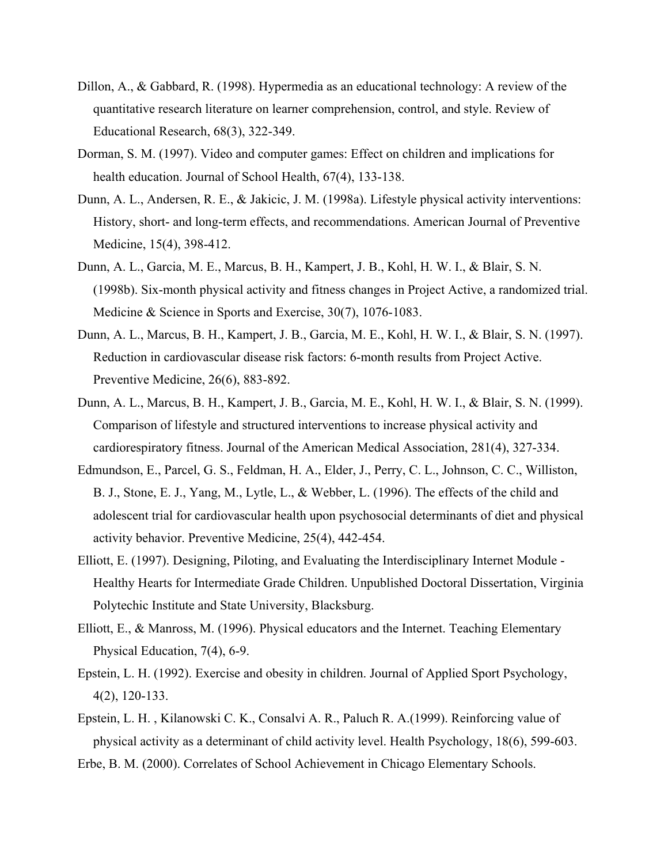- Dillon, A., & Gabbard, R. (1998). Hypermedia as an educational technology: A review of the quantitative research literature on learner comprehension, control, and style. Review of Educational Research, 68(3), 322-349.
- Dorman, S. M. (1997). Video and computer games: Effect on children and implications for health education. Journal of School Health, 67(4), 133-138.
- Dunn, A. L., Andersen, R. E., & Jakicic, J. M. (1998a). Lifestyle physical activity interventions: History, short- and long-term effects, and recommendations. American Journal of Preventive Medicine, 15(4), 398-412.
- Dunn, A. L., Garcia, M. E., Marcus, B. H., Kampert, J. B., Kohl, H. W. I., & Blair, S. N. (1998b). Six-month physical activity and fitness changes in Project Active, a randomized trial. Medicine & Science in Sports and Exercise, 30(7), 1076-1083.
- Dunn, A. L., Marcus, B. H., Kampert, J. B., Garcia, M. E., Kohl, H. W. I., & Blair, S. N. (1997). Reduction in cardiovascular disease risk factors: 6-month results from Project Active. Preventive Medicine, 26(6), 883-892.
- Dunn, A. L., Marcus, B. H., Kampert, J. B., Garcia, M. E., Kohl, H. W. I., & Blair, S. N. (1999). Comparison of lifestyle and structured interventions to increase physical activity and cardiorespiratory fitness. Journal of the American Medical Association, 281(4), 327-334.
- Edmundson, E., Parcel, G. S., Feldman, H. A., Elder, J., Perry, C. L., Johnson, C. C., Williston, B. J., Stone, E. J., Yang, M., Lytle, L., & Webber, L. (1996). The effects of the child and adolescent trial for cardiovascular health upon psychosocial determinants of diet and physical activity behavior. Preventive Medicine, 25(4), 442-454.
- Elliott, E. (1997). Designing, Piloting, and Evaluating the Interdisciplinary Internet Module Healthy Hearts for Intermediate Grade Children. Unpublished Doctoral Dissertation, Virginia Polytechic Institute and State University, Blacksburg.
- Elliott, E., & Manross, M. (1996). Physical educators and the Internet. Teaching Elementary Physical Education, 7(4), 6-9.
- Epstein, L. H. (1992). Exercise and obesity in children. Journal of Applied Sport Psychology, 4(2), 120-133.
- Epstein, L. H. , Kilanowski C. K., Consalvi A. R., Paluch R. A.(1999). Reinforcing value of physical activity as a determinant of child activity level. Health Psychology, 18(6), 599-603.
- Erbe, B. M. (2000). Correlates of School Achievement in Chicago Elementary Schools.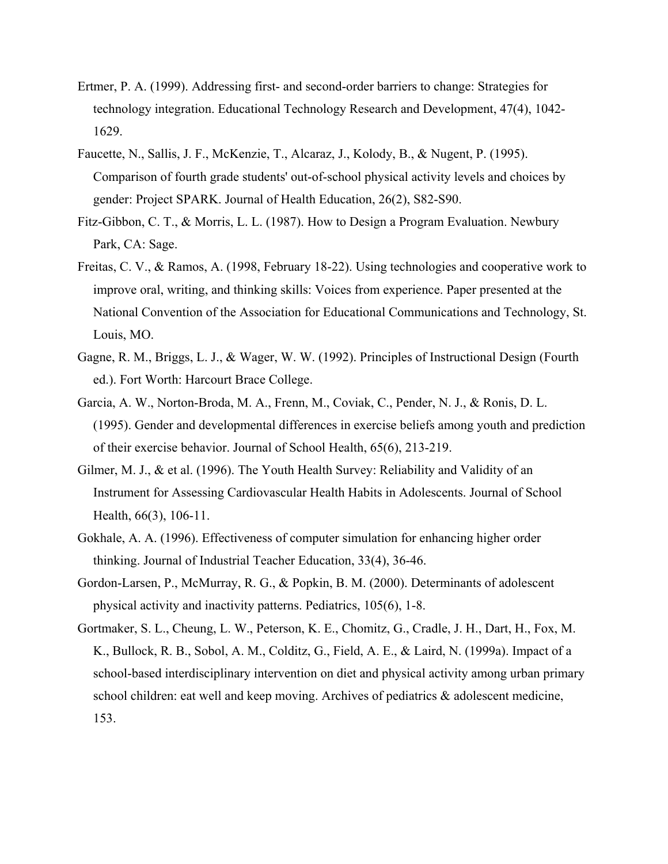- Ertmer, P. A. (1999). Addressing first- and second-order barriers to change: Strategies for technology integration. Educational Technology Research and Development, 47(4), 1042- 1629.
- Faucette, N., Sallis, J. F., McKenzie, T., Alcaraz, J., Kolody, B., & Nugent, P. (1995). Comparison of fourth grade students' out-of-school physical activity levels and choices by gender: Project SPARK. Journal of Health Education, 26(2), S82-S90.
- Fitz-Gibbon, C. T., & Morris, L. L. (1987). How to Design a Program Evaluation. Newbury Park, CA: Sage.
- Freitas, C. V., & Ramos, A. (1998, February 18-22). Using technologies and cooperative work to improve oral, writing, and thinking skills: Voices from experience. Paper presented at the National Convention of the Association for Educational Communications and Technology, St. Louis, MO.
- Gagne, R. M., Briggs, L. J., & Wager, W. W. (1992). Principles of Instructional Design (Fourth ed.). Fort Worth: Harcourt Brace College.
- Garcia, A. W., Norton-Broda, M. A., Frenn, M., Coviak, C., Pender, N. J., & Ronis, D. L. (1995). Gender and developmental differences in exercise beliefs among youth and prediction of their exercise behavior. Journal of School Health, 65(6), 213-219.
- Gilmer, M. J., & et al. (1996). The Youth Health Survey: Reliability and Validity of an Instrument for Assessing Cardiovascular Health Habits in Adolescents. Journal of School Health, 66(3), 106-11.
- Gokhale, A. A. (1996). Effectiveness of computer simulation for enhancing higher order thinking. Journal of Industrial Teacher Education, 33(4), 36-46.
- Gordon-Larsen, P., McMurray, R. G., & Popkin, B. M. (2000). Determinants of adolescent physical activity and inactivity patterns. Pediatrics, 105(6), 1-8.
- Gortmaker, S. L., Cheung, L. W., Peterson, K. E., Chomitz, G., Cradle, J. H., Dart, H., Fox, M. K., Bullock, R. B., Sobol, A. M., Colditz, G., Field, A. E., & Laird, N. (1999a). Impact of a school-based interdisciplinary intervention on diet and physical activity among urban primary school children: eat well and keep moving. Archives of pediatrics & adolescent medicine, 153.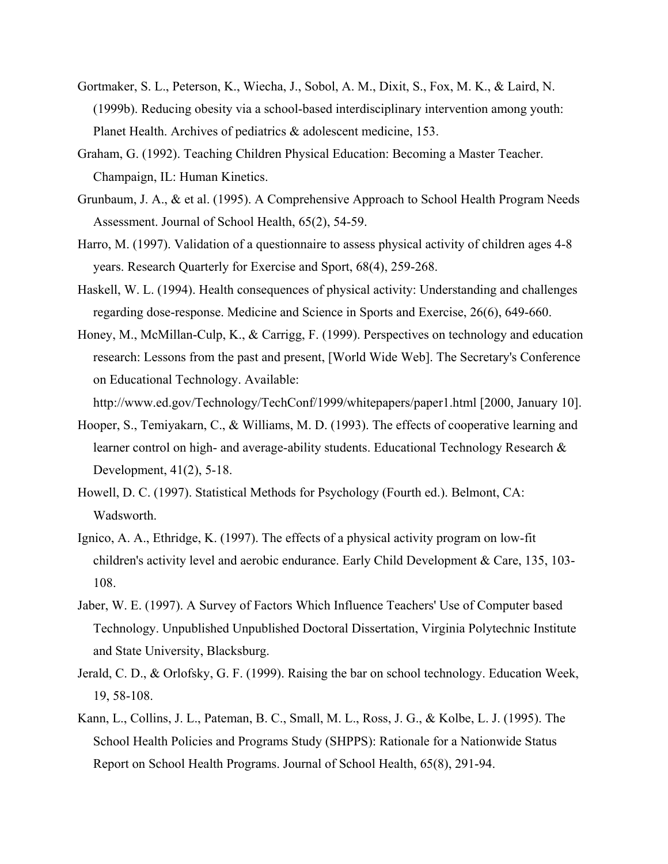- Gortmaker, S. L., Peterson, K., Wiecha, J., Sobol, A. M., Dixit, S., Fox, M. K., & Laird, N. (1999b). Reducing obesity via a school-based interdisciplinary intervention among youth: Planet Health. Archives of pediatrics & adolescent medicine, 153.
- Graham, G. (1992). Teaching Children Physical Education: Becoming a Master Teacher. Champaign, IL: Human Kinetics.
- Grunbaum, J. A., & et al. (1995). A Comprehensive Approach to School Health Program Needs Assessment. Journal of School Health, 65(2), 54-59.
- Harro, M. (1997). Validation of a questionnaire to assess physical activity of children ages 4-8 years. Research Quarterly for Exercise and Sport, 68(4), 259-268.
- Haskell, W. L. (1994). Health consequences of physical activity: Understanding and challenges regarding dose-response. Medicine and Science in Sports and Exercise, 26(6), 649-660.
- Honey, M., McMillan-Culp, K., & Carrigg, F. (1999). Perspectives on technology and education research: Lessons from the past and present, [World Wide Web]. The Secretary's Conference on Educational Technology. Available:

http://www.ed.gov/Technology/TechConf/1999/whitepapers/paper1.html [2000, January 10].

- Hooper, S., Temiyakarn, C., & Williams, M. D. (1993). The effects of cooperative learning and learner control on high- and average-ability students. Educational Technology Research & Development, 41(2), 5-18.
- Howell, D. C. (1997). Statistical Methods for Psychology (Fourth ed.). Belmont, CA: Wadsworth.
- Ignico, A. A., Ethridge, K. (1997). The effects of a physical activity program on low-fit children's activity level and aerobic endurance. Early Child Development & Care, 135, 103- 108.
- Jaber, W. E. (1997). A Survey of Factors Which Influence Teachers' Use of Computer based Technology. Unpublished Unpublished Doctoral Dissertation, Virginia Polytechnic Institute and State University, Blacksburg.
- Jerald, C. D., & Orlofsky, G. F. (1999). Raising the bar on school technology. Education Week, 19, 58-108.
- Kann, L., Collins, J. L., Pateman, B. C., Small, M. L., Ross, J. G., & Kolbe, L. J. (1995). The School Health Policies and Programs Study (SHPPS): Rationale for a Nationwide Status Report on School Health Programs. Journal of School Health, 65(8), 291-94.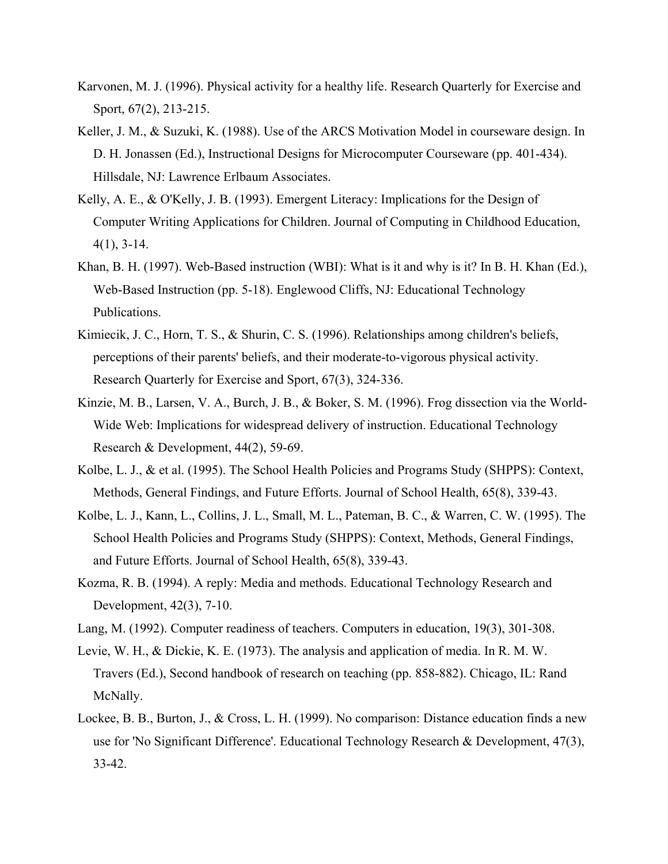- Karvonen, M. J. (1996). Physical activity for a healthy life. Research Quarterly for Exercise and Sport, 67(2), 213-215.
- Keller, J. M., & Suzuki, K. (1988). Use of the ARCS Motivation Model in courseware design. In D. H. Jonassen (Ed.), Instructional Designs for Microcomputer Courseware (pp. 401-434). Hillsdale, NJ: Lawrence Erlbaum Associates.
- Kelly, A. E., & O'Kelly, J. B. (1993). Emergent Literacy: Implications for the Design of Computer Writing Applications for Children. Journal of Computing in Childhood Education, 4(1), 3-14.
- Khan, B. H. (1997). Web-Based instruction (WBI): What is it and why is it? In B. H. Khan (Ed.), Web-Based Instruction (pp. 5-18). Englewood Cliffs, NJ: Educational Technology Publications.
- Kimiecik, J. C., Horn, T. S., & Shurin, C. S. (1996). Relationships among children's beliefs, perceptions of their parents' beliefs, and their moderate-to-vigorous physical activity. Research Quarterly for Exercise and Sport, 67(3), 324-336.
- Kinzie, M. B., Larsen, V. A., Burch, J. B., & Boker, S. M. (1996). Frog dissection via the World-Wide Web: Implications for widespread delivery of instruction. Educational Technology Research & Development, 44(2), 59-69.
- Kolbe, L. J., & et al. (1995). The School Health Policies and Programs Study (SHPPS): Context, Methods, General Findings, and Future Efforts. Journal of School Health, 65(8), 339-43.
- Kolbe, L. J., Kann, L., Collins, J. L., Small, M. L., Pateman, B. C., & Warren, C. W. (1995). The School Health Policies and Programs Study (SHPPS): Context, Methods, General Findings, and Future Efforts. Journal of School Health, 65(8), 339-43.
- Kozma, R. B. (1994). A reply: Media and methods. Educational Technology Research and Development, 42(3), 7-10.
- Lang, M. (1992). Computer readiness of teachers. Computers in education, 19(3), 301-308.
- Levie, W. H., & Dickie, K. E. (1973). The analysis and application of media. In R. M. W. Travers (Ed.), Second handbook of research on teaching (pp. 858-882). Chicago, IL: Rand McNally.
- Lockee, B. B., Burton, J., & Cross, L. H. (1999). No comparison: Distance education finds a new use for 'No Significant Difference'. Educational Technology Research & Development, 47(3), 33-42.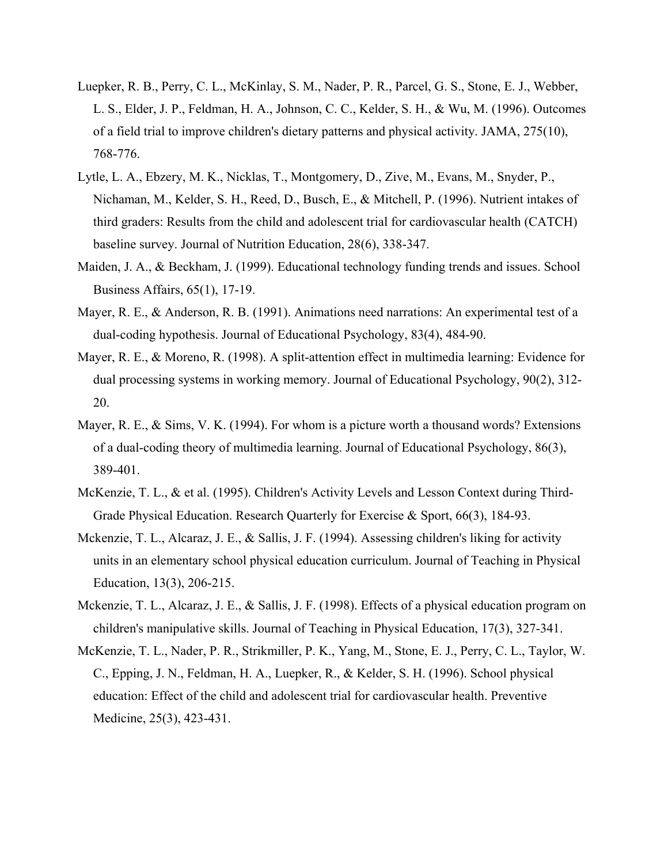- Luepker, R. B., Perry, C. L., McKinlay, S. M., Nader, P. R., Parcel, G. S., Stone, E. J., Webber, L. S., Elder, J. P., Feldman, H. A., Johnson, C. C., Kelder, S. H., & Wu, M. (1996). Outcomes of a field trial to improve children's dietary patterns and physical activity. JAMA, 275(10), 768-776.
- Lytle, L. A., Ebzery, M. K., Nicklas, T., Montgomery, D., Zive, M., Evans, M., Snyder, P., Nichaman, M., Kelder, S. H., Reed, D., Busch, E., & Mitchell, P. (1996). Nutrient intakes of third graders: Results from the child and adolescent trial for cardiovascular health (CATCH) baseline survey. Journal of Nutrition Education, 28(6), 338-347.
- Maiden, J. A., & Beckham, J. (1999). Educational technology funding trends and issues. School Business Affairs, 65(1), 17-19.
- Mayer, R. E., & Anderson, R. B. (1991). Animations need narrations: An experimental test of a dual-coding hypothesis. Journal of Educational Psychology, 83(4), 484-90.
- Mayer, R. E., & Moreno, R. (1998). A split-attention effect in multimedia learning: Evidence for dual processing systems in working memory. Journal of Educational Psychology, 90(2), 312- 20.
- Mayer, R. E.,  $\&$  Sims, V. K. (1994). For whom is a picture worth a thousand words? Extensions of a dual-coding theory of multimedia learning. Journal of Educational Psychology, 86(3), 389-401.
- McKenzie, T. L., & et al. (1995). Children's Activity Levels and Lesson Context during Third-Grade Physical Education. Research Quarterly for Exercise & Sport, 66(3), 184-93.
- Mckenzie, T. L., Alcaraz, J. E., & Sallis, J. F. (1994). Assessing children's liking for activity units in an elementary school physical education curriculum. Journal of Teaching in Physical Education, 13(3), 206-215.
- Mckenzie, T. L., Alcaraz, J. E., & Sallis, J. F. (1998). Effects of a physical education program on children's manipulative skills. Journal of Teaching in Physical Education, 17(3), 327-341.
- McKenzie, T. L., Nader, P. R., Strikmiller, P. K., Yang, M., Stone, E. J., Perry, C. L., Taylor, W. C., Epping, J. N., Feldman, H. A., Luepker, R., & Kelder, S. H. (1996). School physical education: Effect of the child and adolescent trial for cardiovascular health. Preventive Medicine, 25(3), 423-431.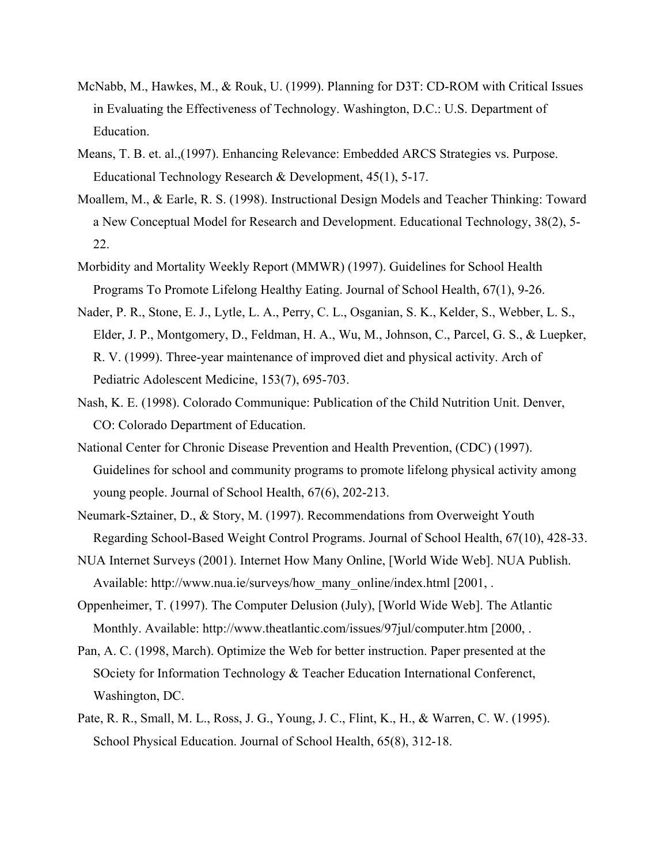- McNabb, M., Hawkes, M., & Rouk, U. (1999). Planning for D3T: CD-ROM with Critical Issues in Evaluating the Effectiveness of Technology. Washington, D.C.: U.S. Department of Education.
- Means, T. B. et. al.,(1997). Enhancing Relevance: Embedded ARCS Strategies vs. Purpose. Educational Technology Research & Development, 45(1), 5-17.
- Moallem, M., & Earle, R. S. (1998). Instructional Design Models and Teacher Thinking: Toward a New Conceptual Model for Research and Development. Educational Technology, 38(2), 5- 22.
- Morbidity and Mortality Weekly Report (MMWR) (1997). Guidelines for School Health Programs To Promote Lifelong Healthy Eating. Journal of School Health, 67(1), 9-26.
- Nader, P. R., Stone, E. J., Lytle, L. A., Perry, C. L., Osganian, S. K., Kelder, S., Webber, L. S., Elder, J. P., Montgomery, D., Feldman, H. A., Wu, M., Johnson, C., Parcel, G. S., & Luepker, R. V. (1999). Three-year maintenance of improved diet and physical activity. Arch of Pediatric Adolescent Medicine, 153(7), 695-703.
- Nash, K. E. (1998). Colorado Communique: Publication of the Child Nutrition Unit. Denver, CO: Colorado Department of Education.
- National Center for Chronic Disease Prevention and Health Prevention, (CDC) (1997). Guidelines for school and community programs to promote lifelong physical activity among young people. Journal of School Health, 67(6), 202-213.
- Neumark-Sztainer, D., & Story, M. (1997). Recommendations from Overweight Youth Regarding School-Based Weight Control Programs. Journal of School Health, 67(10), 428-33.
- NUA Internet Surveys (2001). Internet How Many Online, [World Wide Web]. NUA Publish. Available: http://www.nua.ie/surveys/how\_many\_online/index.html [2001, .
- Oppenheimer, T. (1997). The Computer Delusion (July), [World Wide Web]. The Atlantic Monthly. Available: http://www.theatlantic.com/issues/97jul/computer.htm [2000, .
- Pan, A. C. (1998, March). Optimize the Web for better instruction. Paper presented at the SOciety for Information Technology & Teacher Education International Conferenct, Washington, DC.
- Pate, R. R., Small, M. L., Ross, J. G., Young, J. C., Flint, K., H., & Warren, C. W. (1995). School Physical Education. Journal of School Health, 65(8), 312-18.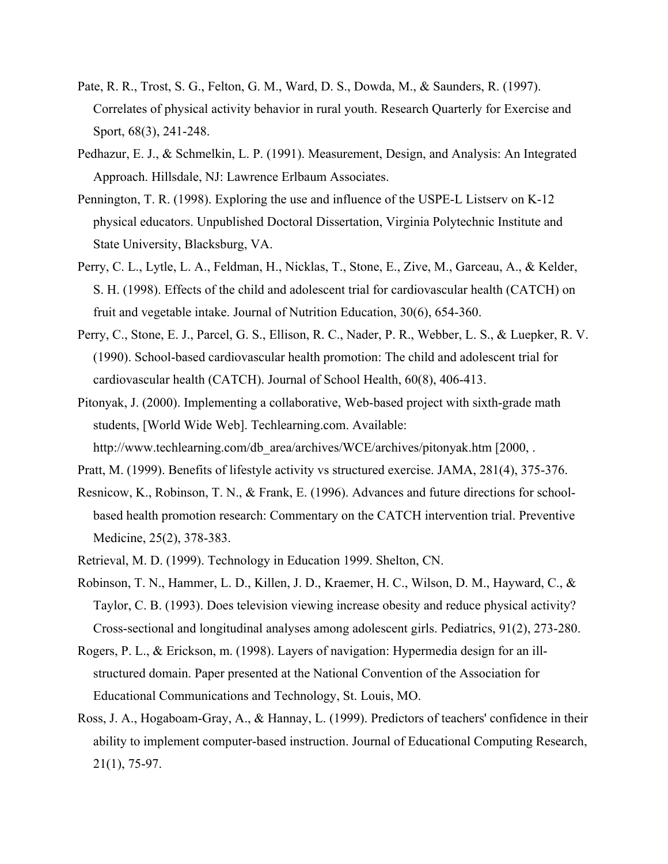- Pate, R. R., Trost, S. G., Felton, G. M., Ward, D. S., Dowda, M., & Saunders, R. (1997). Correlates of physical activity behavior in rural youth. Research Quarterly for Exercise and Sport, 68(3), 241-248.
- Pedhazur, E. J., & Schmelkin, L. P. (1991). Measurement, Design, and Analysis: An Integrated Approach. Hillsdale, NJ: Lawrence Erlbaum Associates.
- Pennington, T. R. (1998). Exploring the use and influence of the USPE-L Listserv on K-12 physical educators. Unpublished Doctoral Dissertation, Virginia Polytechnic Institute and State University, Blacksburg, VA.
- Perry, C. L., Lytle, L. A., Feldman, H., Nicklas, T., Stone, E., Zive, M., Garceau, A., & Kelder, S. H. (1998). Effects of the child and adolescent trial for cardiovascular health (CATCH) on fruit and vegetable intake. Journal of Nutrition Education, 30(6), 654-360.
- Perry, C., Stone, E. J., Parcel, G. S., Ellison, R. C., Nader, P. R., Webber, L. S., & Luepker, R. V. (1990). School-based cardiovascular health promotion: The child and adolescent trial for cardiovascular health (CATCH). Journal of School Health, 60(8), 406-413.
- Pitonyak, J. (2000). Implementing a collaborative, Web-based project with sixth-grade math students, [World Wide Web]. Techlearning.com. Available: http://www.techlearning.com/db\_area/archives/WCE/archives/pitonyak.htm [2000, .
- Pratt, M. (1999). Benefits of lifestyle activity vs structured exercise. JAMA, 281(4), 375-376.
- Resnicow, K., Robinson, T. N., & Frank, E. (1996). Advances and future directions for schoolbased health promotion research: Commentary on the CATCH intervention trial. Preventive Medicine, 25(2), 378-383.
- Retrieval, M. D. (1999). Technology in Education 1999. Shelton, CN.
- Robinson, T. N., Hammer, L. D., Killen, J. D., Kraemer, H. C., Wilson, D. M., Hayward, C., & Taylor, C. B. (1993). Does television viewing increase obesity and reduce physical activity? Cross-sectional and longitudinal analyses among adolescent girls. Pediatrics, 91(2), 273-280.
- Rogers, P. L., & Erickson, m. (1998). Layers of navigation: Hypermedia design for an illstructured domain. Paper presented at the National Convention of the Association for Educational Communications and Technology, St. Louis, MO.
- Ross, J. A., Hogaboam-Gray, A., & Hannay, L. (1999). Predictors of teachers' confidence in their ability to implement computer-based instruction. Journal of Educational Computing Research, 21(1), 75-97.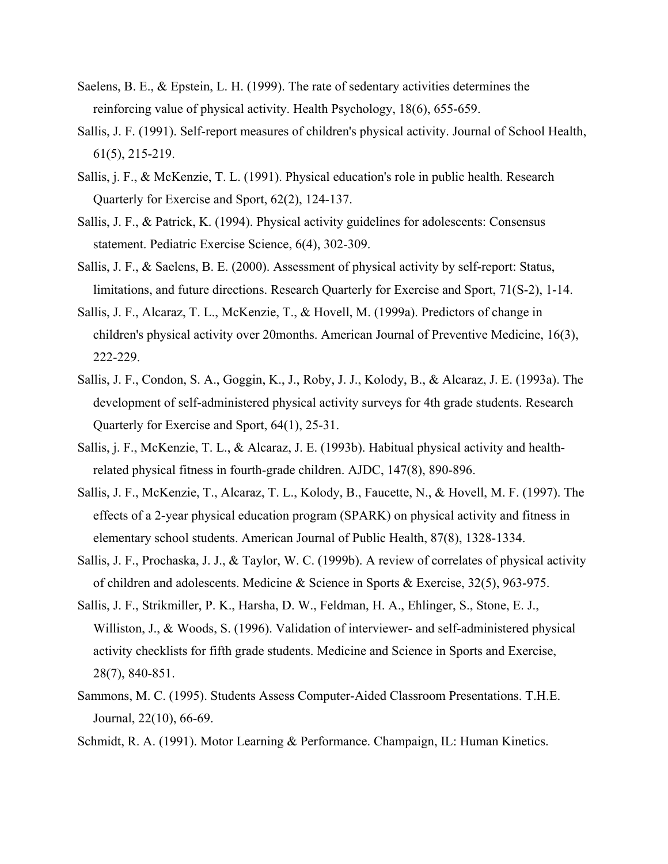- Saelens, B. E., & Epstein, L. H. (1999). The rate of sedentary activities determines the reinforcing value of physical activity. Health Psychology, 18(6), 655-659.
- Sallis, J. F. (1991). Self-report measures of children's physical activity. Journal of School Health, 61(5), 215-219.
- Sallis, j. F., & McKenzie, T. L. (1991). Physical education's role in public health. Research Quarterly for Exercise and Sport, 62(2), 124-137.
- Sallis, J. F., & Patrick, K. (1994). Physical activity guidelines for adolescents: Consensus statement. Pediatric Exercise Science, 6(4), 302-309.
- Sallis, J. F., & Saelens, B. E. (2000). Assessment of physical activity by self-report: Status, limitations, and future directions. Research Quarterly for Exercise and Sport, 71(S-2), 1-14.
- Sallis, J. F., Alcaraz, T. L., McKenzie, T., & Hovell, M. (1999a). Predictors of change in children's physical activity over 20months. American Journal of Preventive Medicine, 16(3), 222-229.
- Sallis, J. F., Condon, S. A., Goggin, K., J., Roby, J. J., Kolody, B., & Alcaraz, J. E. (1993a). The development of self-administered physical activity surveys for 4th grade students. Research Quarterly for Exercise and Sport, 64(1), 25-31.
- Sallis, j. F., McKenzie, T. L., & Alcaraz, J. E. (1993b). Habitual physical activity and healthrelated physical fitness in fourth-grade children. AJDC, 147(8), 890-896.
- Sallis, J. F., McKenzie, T., Alcaraz, T. L., Kolody, B., Faucette, N., & Hovell, M. F. (1997). The effects of a 2-year physical education program (SPARK) on physical activity and fitness in elementary school students. American Journal of Public Health, 87(8), 1328-1334.
- Sallis, J. F., Prochaska, J. J., & Taylor, W. C. (1999b). A review of correlates of physical activity of children and adolescents. Medicine & Science in Sports & Exercise, 32(5), 963-975.
- Sallis, J. F., Strikmiller, P. K., Harsha, D. W., Feldman, H. A., Ehlinger, S., Stone, E. J., Williston, J., & Woods, S. (1996). Validation of interviewer- and self-administered physical activity checklists for fifth grade students. Medicine and Science in Sports and Exercise, 28(7), 840-851.
- Sammons, M. C. (1995). Students Assess Computer-Aided Classroom Presentations. T.H.E. Journal, 22(10), 66-69.
- Schmidt, R. A. (1991). Motor Learning & Performance. Champaign, IL: Human Kinetics.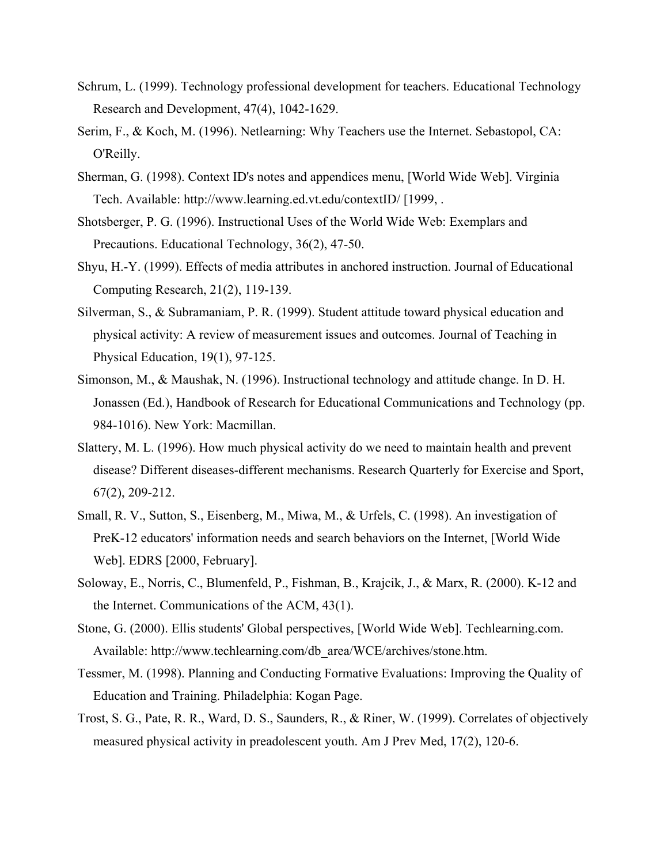- Schrum, L. (1999). Technology professional development for teachers. Educational Technology Research and Development, 47(4), 1042-1629.
- Serim, F., & Koch, M. (1996). Netlearning: Why Teachers use the Internet. Sebastopol, CA: O'Reilly.
- Sherman, G. (1998). Context ID's notes and appendices menu, [World Wide Web]. Virginia Tech. Available: http://www.learning.ed.vt.edu/contextID/ [1999, .
- Shotsberger, P. G. (1996). Instructional Uses of the World Wide Web: Exemplars and Precautions. Educational Technology, 36(2), 47-50.
- Shyu, H.-Y. (1999). Effects of media attributes in anchored instruction. Journal of Educational Computing Research, 21(2), 119-139.
- Silverman, S., & Subramaniam, P. R. (1999). Student attitude toward physical education and physical activity: A review of measurement issues and outcomes. Journal of Teaching in Physical Education, 19(1), 97-125.
- Simonson, M., & Maushak, N. (1996). Instructional technology and attitude change. In D. H. Jonassen (Ed.), Handbook of Research for Educational Communications and Technology (pp. 984-1016). New York: Macmillan.
- Slattery, M. L. (1996). How much physical activity do we need to maintain health and prevent disease? Different diseases-different mechanisms. Research Quarterly for Exercise and Sport, 67(2), 209-212.
- Small, R. V., Sutton, S., Eisenberg, M., Miwa, M., & Urfels, C. (1998). An investigation of PreK-12 educators' information needs and search behaviors on the Internet, [World Wide Web]. EDRS [2000, February].
- Soloway, E., Norris, C., Blumenfeld, P., Fishman, B., Krajcik, J., & Marx, R. (2000). K-12 and the Internet. Communications of the ACM, 43(1).
- Stone, G. (2000). Ellis students' Global perspectives, [World Wide Web]. Techlearning.com. Available: http://www.techlearning.com/db\_area/WCE/archives/stone.htm.
- Tessmer, M. (1998). Planning and Conducting Formative Evaluations: Improving the Quality of Education and Training. Philadelphia: Kogan Page.
- Trost, S. G., Pate, R. R., Ward, D. S., Saunders, R., & Riner, W. (1999). Correlates of objectively measured physical activity in preadolescent youth. Am J Prev Med, 17(2), 120-6.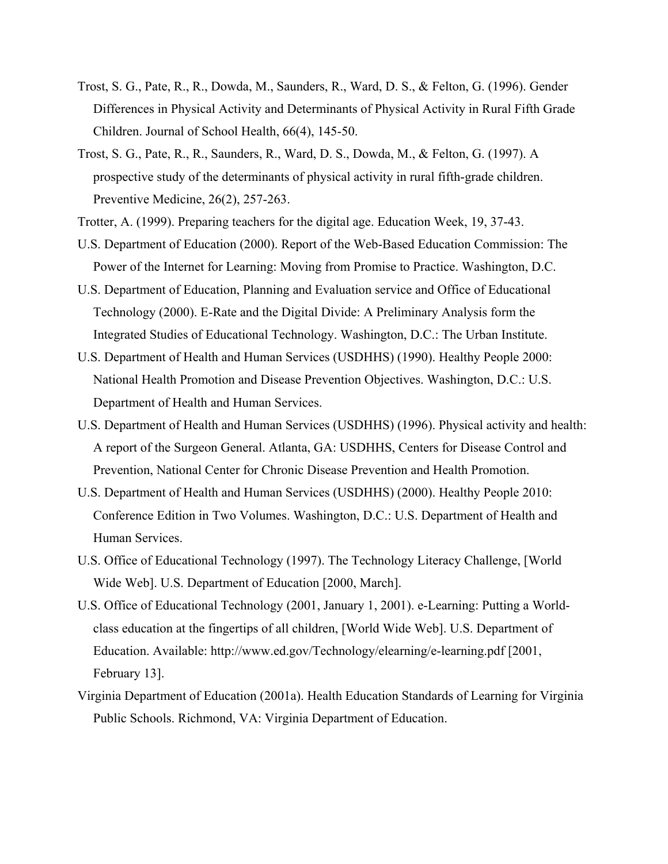- Trost, S. G., Pate, R., R., Dowda, M., Saunders, R., Ward, D. S., & Felton, G. (1996). Gender Differences in Physical Activity and Determinants of Physical Activity in Rural Fifth Grade Children. Journal of School Health, 66(4), 145-50.
- Trost, S. G., Pate, R., R., Saunders, R., Ward, D. S., Dowda, M., & Felton, G. (1997). A prospective study of the determinants of physical activity in rural fifth-grade children. Preventive Medicine, 26(2), 257-263.
- Trotter, A. (1999). Preparing teachers for the digital age. Education Week, 19, 37-43.
- U.S. Department of Education (2000). Report of the Web-Based Education Commission: The Power of the Internet for Learning: Moving from Promise to Practice. Washington, D.C.
- U.S. Department of Education, Planning and Evaluation service and Office of Educational Technology (2000). E-Rate and the Digital Divide: A Preliminary Analysis form the Integrated Studies of Educational Technology. Washington, D.C.: The Urban Institute.
- U.S. Department of Health and Human Services (USDHHS) (1990). Healthy People 2000: National Health Promotion and Disease Prevention Objectives. Washington, D.C.: U.S. Department of Health and Human Services.
- U.S. Department of Health and Human Services (USDHHS) (1996). Physical activity and health: A report of the Surgeon General. Atlanta, GA: USDHHS, Centers for Disease Control and Prevention, National Center for Chronic Disease Prevention and Health Promotion.
- U.S. Department of Health and Human Services (USDHHS) (2000). Healthy People 2010: Conference Edition in Two Volumes. Washington, D.C.: U.S. Department of Health and Human Services.
- U.S. Office of Educational Technology (1997). The Technology Literacy Challenge, [World Wide Web]. U.S. Department of Education [2000, March].
- U.S. Office of Educational Technology (2001, January 1, 2001). e-Learning: Putting a Worldclass education at the fingertips of all children, [World Wide Web]. U.S. Department of Education. Available: http://www.ed.gov/Technology/elearning/e-learning.pdf [2001, February 13].
- Virginia Department of Education (2001a). Health Education Standards of Learning for Virginia Public Schools. Richmond, VA: Virginia Department of Education.